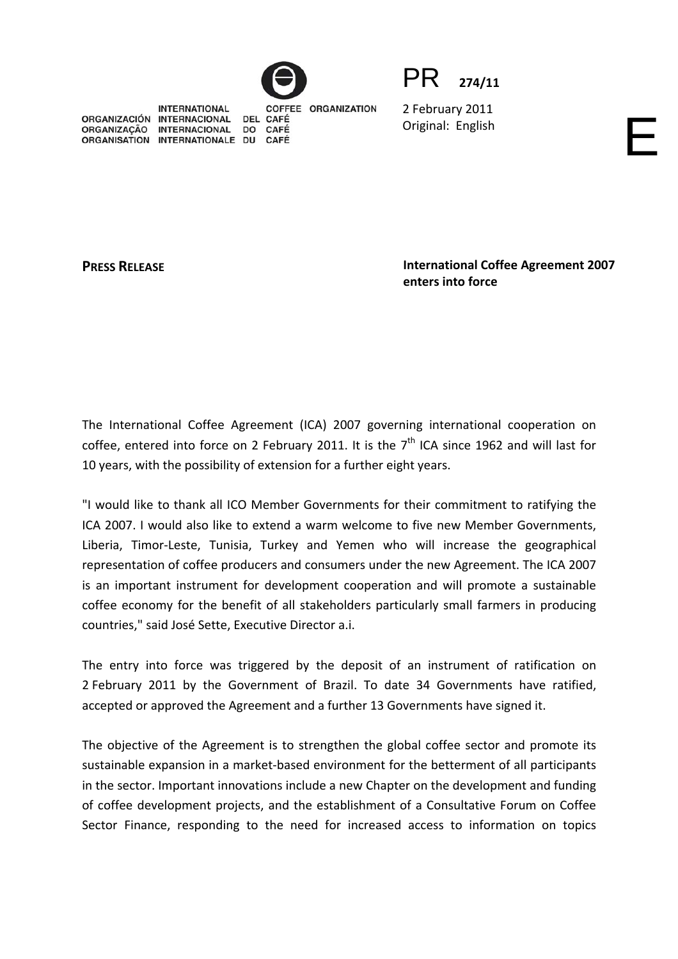



2 February 2011 Original: English

**INTERNATIONAL** COFFEE ORGANIZATION ORGANIZACIÓN INTERNACIONAL DEL CAFÉ ORGANIZAÇÃO INTERNACIONAL **CAFÉ DO** ORGANISATION INTERNATIONALE DU CAFÉ

**PRESS RELEASE International Coffee Agreement 2007 enters into force**

The International Coffee Agreement (ICA) 2007 governing international cooperation on coffee, entered into force on 2 February 2011. It is the  $7<sup>th</sup>$  ICA since 1962 and will last for 10 years, with the possibility of extension for a further eight years.

"I would like to thank all ICO Member Governments for their commitment to ratifying the ICA 2007. I would also like to extend a warm welcome to five new Member Governments, Liberia, Timor-Leste, Tunisia, Turkey and Yemen who will increase the geographical representation of coffee producers and consumers under the new Agreement. The ICA 2007 is an important instrument for development cooperation and will promote a sustainable coffee economy for the benefit of all stakeholders particularly small farmers in producing countries," said José Sette, Executive Director a.i.

The entry into force was triggered by the deposit of an instrument of ratification on 2 February 2011 by the Government of Brazil. To date 34 Governments have ratified, accepted or approved the Agreement and a further 13 Governments have signed it.

The objective of the Agreement is to strengthen the global coffee sector and promote its sustainable expansion in a market‐based environment for the betterment of all participants in the sector. Important innovations include a new Chapter on the development and funding of coffee development projects, and the establishment of a Consultative Forum on Coffee Sector Finance, responding to the need for increased access to information on topics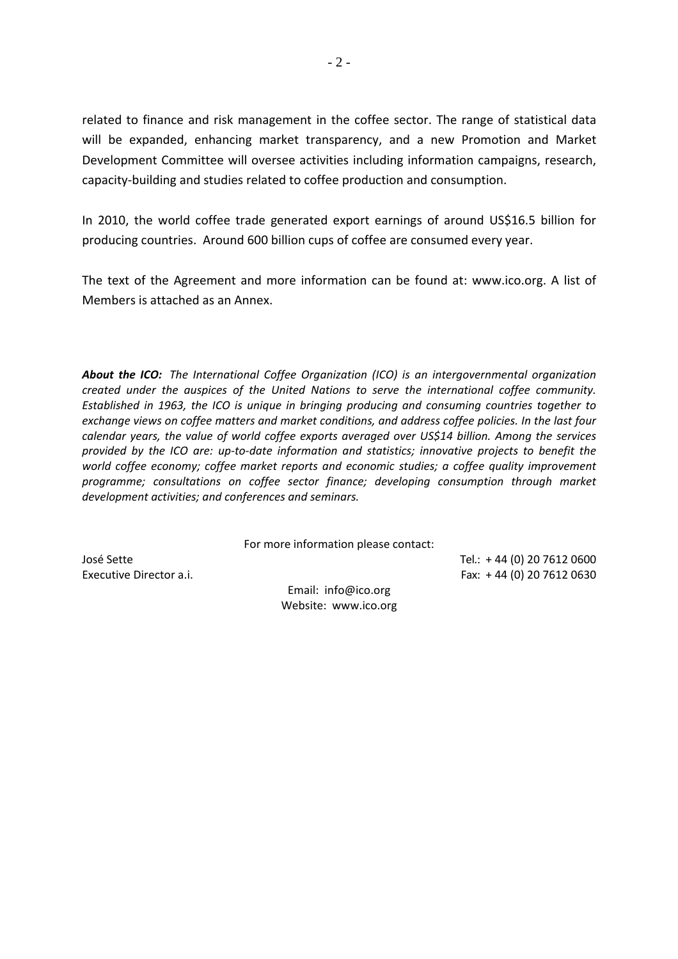related to finance and risk management in the coffee sector. The range of statistical data will be expanded, enhancing market transparency, and a new Promotion and Market Development Committee will oversee activities including information campaigns, research, capacity‐building and studies related to coffee production and consumption.

In 2010, the world coffee trade generated export earnings of around US\$16.5 billion for producing countries. Around 600 billion cups of coffee are consumed every year.

The text of the Agreement and more information can be found at: www.ico.org. A list of Members is attached as an Annex.

*About the ICO: The International Coffee Organization (ICO) is an intergovernmental organization created under the auspices of the United Nations to serve the international coffee community. Established in 1963, the ICO is unique in bringing producing and consuming countries together to exchange views on coffee matters and market conditions, and address coffee policies. In the last four calendar years, the value of world coffee exports averaged over US\$14 billion. Among the services provided by the ICO are: up‐to‐date information and statistics; innovative projects to benefit the world coffee economy; coffee market reports and economic studies; a coffee quality improvement programme; consultations on coffee sector finance; developing consumption through market development activities; and conferences and seminars.*

For more information please contact:

Email: info@ico.org Website: www.ico.org

José Sette Tel.: + 44 (0) 20 7612 0600 Executive Director a.i. Fax: + 44 (0) 20 7612 0630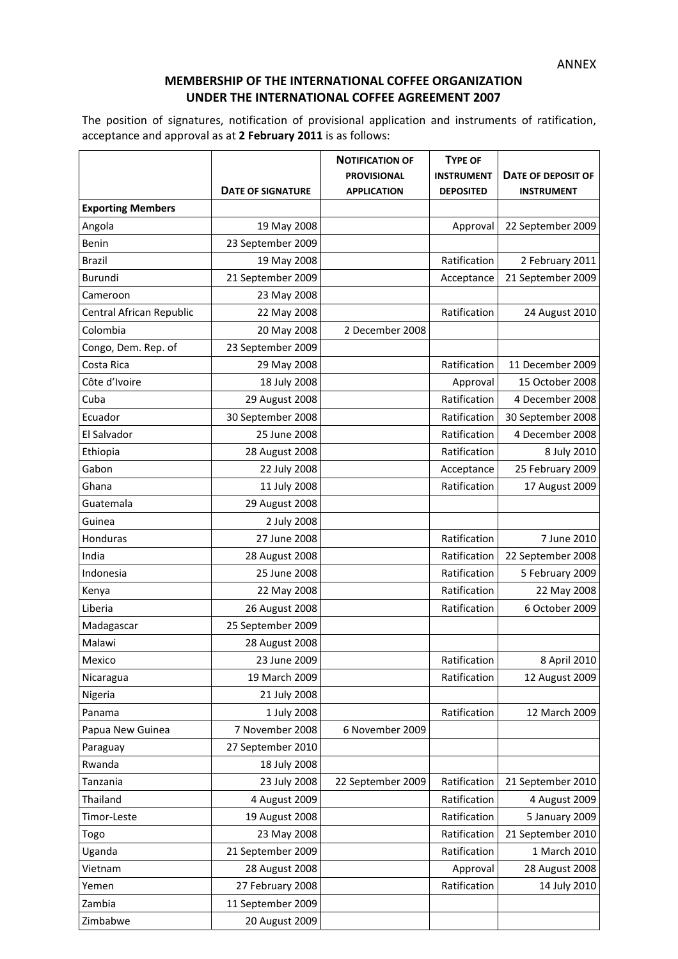## **MEMBERSHIP OF THE INTERNATIONAL COFFEE ORGANIZATION UNDER THE INTERNATIONAL COFFEE AGREEMENT 2007**

The position of signatures, notification of provisional application and instruments of ratification, acceptance and approval as at **2 February 2011** is as follows:

|                          |                          | <b>NOTIFICATION OF</b> | <b>TYPE OF</b>    |                    |
|--------------------------|--------------------------|------------------------|-------------------|--------------------|
|                          |                          | <b>PROVISIONAL</b>     | <b>INSTRUMENT</b> | DATE OF DEPOSIT OF |
|                          | <b>DATE OF SIGNATURE</b> | <b>APPLICATION</b>     | <b>DEPOSITED</b>  | <b>INSTRUMENT</b>  |
| <b>Exporting Members</b> |                          |                        |                   |                    |
| Angola                   | 19 May 2008              |                        | Approval          | 22 September 2009  |
| Benin                    | 23 September 2009        |                        |                   |                    |
| <b>Brazil</b>            | 19 May 2008              |                        | Ratification      | 2 February 2011    |
| Burundi                  | 21 September 2009        |                        | Acceptance        | 21 September 2009  |
| Cameroon                 | 23 May 2008              |                        |                   |                    |
| Central African Republic | 22 May 2008              |                        | Ratification      | 24 August 2010     |
| Colombia                 | 20 May 2008              | 2 December 2008        |                   |                    |
| Congo, Dem. Rep. of      | 23 September 2009        |                        |                   |                    |
| Costa Rica               | 29 May 2008              |                        | Ratification      | 11 December 2009   |
| Côte d'Ivoire            | 18 July 2008             |                        | Approval          | 15 October 2008    |
| Cuba                     | 29 August 2008           |                        | Ratification      | 4 December 2008    |
| Ecuador                  | 30 September 2008        |                        | Ratification      | 30 September 2008  |
| El Salvador              | 25 June 2008             |                        | Ratification      | 4 December 2008    |
| Ethiopia                 | 28 August 2008           |                        | Ratification      | 8 July 2010        |
| Gabon                    | 22 July 2008             |                        | Acceptance        | 25 February 2009   |
| Ghana                    | 11 July 2008             |                        | Ratification      | 17 August 2009     |
| Guatemala                | 29 August 2008           |                        |                   |                    |
| Guinea                   | 2 July 2008              |                        |                   |                    |
| Honduras                 | 27 June 2008             |                        | Ratification      | 7 June 2010        |
| India                    | 28 August 2008           |                        | Ratification      | 22 September 2008  |
| Indonesia                | 25 June 2008             |                        | Ratification      | 5 February 2009    |
| Kenya                    | 22 May 2008              |                        | Ratification      | 22 May 2008        |
| Liberia                  | 26 August 2008           |                        | Ratification      | 6 October 2009     |
| Madagascar               | 25 September 2009        |                        |                   |                    |
| Malawi                   | 28 August 2008           |                        |                   |                    |
| Mexico                   | 23 June 2009             |                        | Ratification      | 8 April 2010       |
| Nicaragua                | 19 March 2009            |                        | Ratification      | 12 August 2009     |
| Nigeria                  | 21 July 2008             |                        |                   |                    |
| Panama                   | 1 July 2008              |                        | Ratification      | 12 March 2009      |
| Papua New Guinea         | 7 November 2008          | 6 November 2009        |                   |                    |
| Paraguay                 | 27 September 2010        |                        |                   |                    |
| Rwanda                   | 18 July 2008             |                        |                   |                    |
| Tanzania                 | 23 July 2008             | 22 September 2009      | Ratification      | 21 September 2010  |
| Thailand                 | 4 August 2009            |                        | Ratification      | 4 August 2009      |
| Timor-Leste              | 19 August 2008           |                        | Ratification      | 5 January 2009     |
| Togo                     | 23 May 2008              |                        | Ratification      | 21 September 2010  |
| Uganda                   | 21 September 2009        |                        | Ratification      | 1 March 2010       |
| Vietnam                  | 28 August 2008           |                        | Approval          | 28 August 2008     |
| Yemen                    | 27 February 2008         |                        | Ratification      | 14 July 2010       |
| Zambia                   | 11 September 2009        |                        |                   |                    |
| Zimbabwe                 | 20 August 2009           |                        |                   |                    |